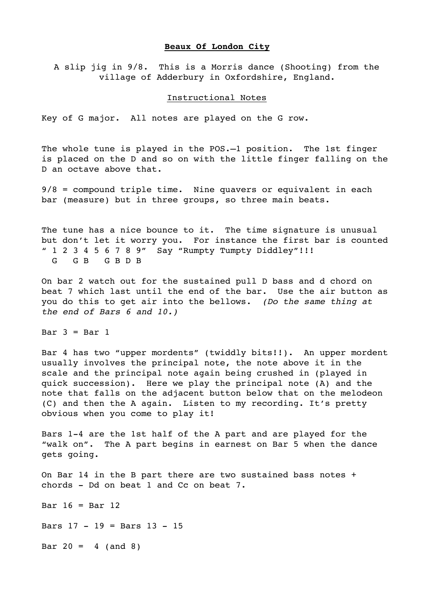## **Beaux Of London City**

A slip jig in 9/8. This is a Morris dance (Shooting) from the village of Adderbury in Oxfordshire, England.

## Instructional Notes

Key of G major. All notes are played on the G row.

The whole tune is played in the POS.—1 position. The 1st finger is placed on the D and so on with the little finger falling on the D an octave above that.

9/8 = compound triple time. Nine quavers or equivalent in each bar (measure) but in three groups, so three main beats.

The tune has a nice bounce to it. The time signature is unusual but don't let it worry you. For instance the first bar is counted " 1 2 3 4 5 6 7 8 9" Say "Rumpty Tumpty Diddley"!!! G G B G B D B

On bar 2 watch out for the sustained pull D bass and d chord on beat 7 which last until the end of the bar. Use the air button as you do this to get air into the bellows. *(Do the same thing at the end of Bars 6 and 10.)*

Bar  $3 =$  Bar  $1$ 

Bar 4 has two "upper mordents" (twiddly bits!!). An upper mordent usually involves the principal note, the note above it in the scale and the principal note again being crushed in (played in quick succession). Here we play the principal note (A) and the note that falls on the adjacent button below that on the melodeon (C) and then the A again. Listen to my recording. It's pretty obvious when you come to play it!

Bars 1-4 are the 1st half of the A part and are played for the "walk on". The A part begins in earnest on Bar 5 when the dance gets going.

On Bar 14 in the B part there are two sustained bass notes + chords - Dd on beat 1 and Cc on beat 7.

Bar  $16 =$  Bar  $12$ 

Bars 17 - 19 = Bars 13 - 15

Bar  $20 = 4$  (and 8)